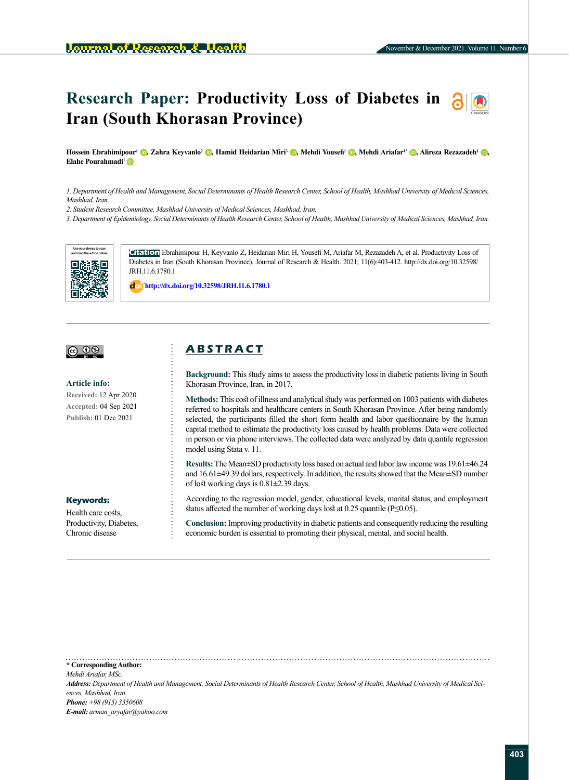# **Research Paper: Productivity Loss of Diabetes in Iran (South Khorasan Province)**

Hossein Ebrahimi[pour](https://orcid.org/0000-0002-6725-3120)<sup>i</sup> (D[,](https://orcid.org/0000-0002-1811-372X) Zahra Keyvanlo<sup>2</sup> (D[,](https://orcid.org/0000-0003-3493-5229) Hamid Heidarian Miri<sup>3</sup> (D, Mehdi Yousefi<sup>1</sup> (D, Mehdi Ariafar<sup>i\*</sup> (D, Alireza Rezazadeh<sup>1</sup> (D, **Elahe Pourahmadi<sup>1</sup>** 

*1. Department of Health and Management, Social Determinants of Health Research Center, School of Health, Mashhad University of Medical Sciences, Mashhad, Iran.*

*2. Student Research Committee, Mashhad University of Medical Sciences, Mashhad, Iran.*

*3. Department of Epidemiology, Social Determinants of Health Research Center, School of Health, Mashhad University of Medical Sciences, Mashhad, Iran.*



**Citation** Ebrahimipour H, Keyvanlo Z, Heidarian Miri H, Yousefi M, Ariafar M, Rezazadeh A, et al. Productivity Loss of Diabetes in Iran (South Khorasan Province). Journal of Research & Health. 2021; 11(6):403-412. http://dx.doi.org/10.32598/ JRH.11.6.1780.1

: **http://dx.doi.org/10.32598/JRH.11.6.1780.1**

## <u>@ 00 </u>

#### **Article info:**

**Received:** 12 Apr 2020 **Accepted:** 04 Sep 2021 **Publish:** 01 Dec 2021

#### **Keywords:**

Health care costs. Productivity, Diabetes, Chronic disease

## **A B S T R A C T**

**Background:** This study aims to assess the productivity loss in diabetic patients living in South Khorasan Province, Iran, in 2017.

**Methods:** This cost of illness and analytical study was performed on 1003 patients with diabetes referred to hospitals and healthcare centers in South Khorasan Province. After being randomly selected, the participants filled the short form health and labor questionnaire by the human capital method to estimate the productivity loss caused by health problems. Data were collected in person or via phone interviews. The collected data were analyzed by data quantile regression model using Stata v. 11.

**Results:** The Mean±SD productivity loss based on actual and labor law income was 19.61±46.24 and 16.61±49.39 dollars, respectively. In addition, the results showed that the Mean±SD number of lost working days is 0.81±2.39 days.

According to the regression model, gender, educational levels, marital status, and employment status affected the number of working days lost at 0.25 quantile (P≤0.05).

**Conclusion:** Improving productivity in diabetic patients and consequently reducing the resulting economic burden is essential to promoting their physical, mental, and social health.

**\* Corresponding Author:** *Mehdi Ariafar, MSc. Address: Department of Health and Management, Social Determinants of Health Research Center, School of Health, Mashhad University of Medical Sciences, Mashhad, Iran. Phone: +98 (915) 3350608 E-mail: [arman\\_aryafar@yahoo.com](mailto:arman_aryafar@yahoo.com)*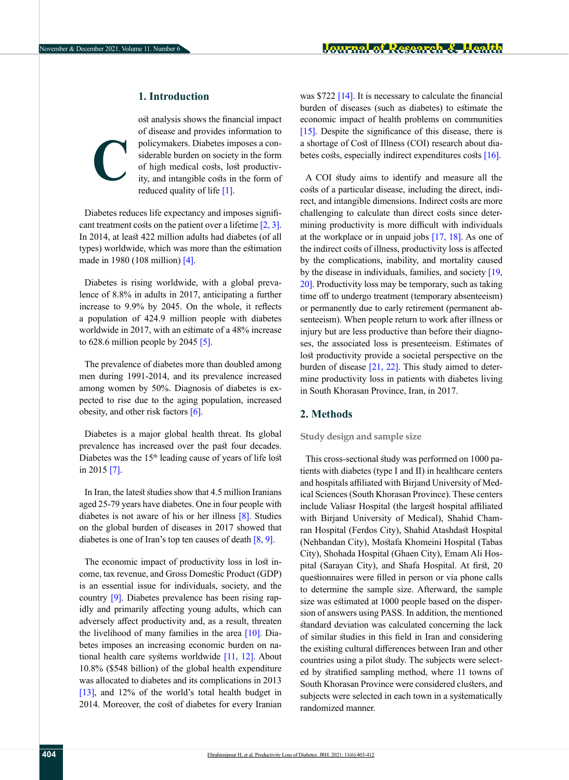## **1. Introduction**

ost analysis shows the financial impact of disease and provides information to policymakers. Diabetes imposes a considerable burden on society in the form of high medical costs, lost productivity, and intangible costs in the form of reduced quality of life [\[1\]](#page-7-0). **C**

Diabetes reduces life expectancy and imposes significant treatment costs on the patient over a lifetime  $[2, 3]$  $[2, 3]$ . In 2014, at least 422 million adults had diabetes (of all types) worldwide, which was more than the estimation made in 1980 (108 million) [\[4\]](#page-8-2).

Diabetes is rising worldwide, with a global prevalence of 8.8% in adults in 2017, anticipating a further increase to 9.9% by 2045. On the whole, it reflects a population of 424.9 million people with diabetes worldwide in 2017, with an estimate of a 48% increase to  $628.6$  million people by  $2045$  [\[5\]](#page-8-3).

The prevalence of diabetes more than doubled among men during 1991-2014, and its prevalence increased among women by 50%. Diagnosis of diabetes is expected to rise due to the aging population, increased obesity, and other risk factors [\[6\]](#page-8-4).

Diabetes is a major global health threat. Its global prevalence has increased over the past four decades. Diabetes was the 15<sup>th</sup> leading cause of years of life lost in 2015 [7].

In Iran, the latest studies show that 4.5 million Iranians aged 25-79 years have diabetes. One in four people with diabetes is not aware of his or her illness [\[8\]](#page-8-5). Studies on the global burden of diseases in 2017 showed that diabetes is one of Iran's top ten causes of death  $[8, 9]$  $[8, 9]$  $[8, 9]$ .

The economic impact of productivity loss in lost income, tax revenue, and Gross Domestic Product (GDP) is an essential issue for individuals, society, and the country [\[9\]](#page-8-6). Diabetes prevalence has been rising rapidly and primarily affecting young adults, which can adversely affect productivity and, as a result, threaten the livelihood of many families in the area [\[10\]](#page-8-7). Diabetes imposes an increasing economic burden on national health care systems worldwide [\[11,](#page-8-8) [12\]](#page-8-9). About 10.8% (\$548 billion) of the global health expenditure was allocated to diabetes and its complications in 2013 [\[13\]](#page-8-10), and 12% of the world's total health budget in 2014. Moreover, the cost of diabetes for every Iranian was \$722 [\[14\]](#page-8-11). It is necessary to calculate the financial burden of diseases (such as diabetes) to estimate the economic impact of health problems on communities [\[15\].](#page-8-12) Despite the significance of this disease, there is a shortage of Cost of Illness (COI) research about dia-betes costs, especially indirect expenditures costs [\[16\].](#page-8-13)

A COI study aims to identify and measure all the costs of a particular disease, including the direct, indirect, and intangible dimensions. Indirect costs are more challenging to calculate than direct costs since determining productivity is more difficult with individuals at the workplace or in unpaid jobs [17, 18]. As one of the indirect costs of illness, productivity loss is affected by the complications, inability, and mortality caused by the disease in individuals, families, and society [\[19,](#page-8-14) [20\].](#page-8-15) Productivity loss may be temporary, such as taking time off to undergo treatment (temporary absenteeism) or permanently due to early retirement (permanent absenteeism). When people return to work after illness or injury but are less productive than before their diagnoses, the associated loss is presenteeism. Estimates of lost productivity provide a societal perspective on the burden of disease  $[21, 22]$  $[21, 22]$ . This study aimed to determine productivity loss in patients with diabetes living in South Khorasan Province, Iran, in 2017.

## **2. Methods**

#### **Study design and sample size**

This cross-sectional study was performed on 1000 patients with diabetes (type I and II) in healthcare centers and hospitals affiliated with Birjand University of Medical Sciences (South Khorasan Province). These centers include Valiasr Hospital (the largest hospital affiliated with Birjand University of Medical), Shahid Chamran Hospital (Ferdos City), Shahid Atashdast Hospital (Nehbandan City), Mostafa Khomeini Hospital (Tabas City), Shohada Hospital (Ghaen City), Emam Ali Hospital (Sarayan City), and Shafa Hospital. At first, 20 questionnaires were filled in person or via phone calls to determine the sample size. Afterward, the sample size was estimated at 1000 people based on the dispersion of answers using PASS. In addition, the mentioned standard deviation was calculated concerning the lack of similar studies in this field in Iran and considering the existing cultural differences between Iran and other countries using a pilot study. The subjects were selected by stratified sampling method, where 11 towns of South Khorasan Province were considered clusters, and subjects were selected in each town in a systematically randomized manner.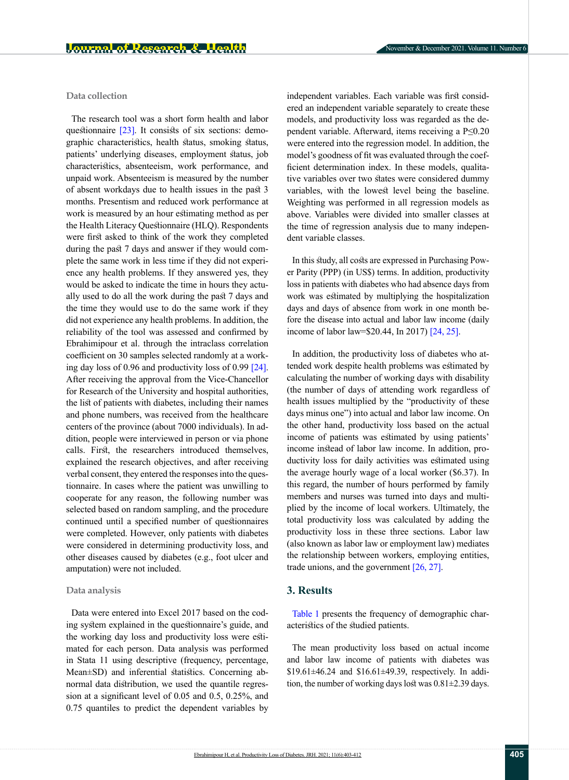### **Data collection**

The research tool was a short form health and labor questionnaire  $[23]$ . It consists of six sections: demographic characteristics, health status, smoking status, patients' underlying diseases, employment status, job characteristics, absenteeism, work performance, and unpaid work. Absenteeism is measured by the number of absent workdays due to health issues in the past 3 months. Presentism and reduced work performance at work is measured by an hour estimating method as per the Health Literacy Questionnaire (HLQ). Respondents were first asked to think of the work they completed during the past 7 days and answer if they would complete the same work in less time if they did not experience any health problems. If they answered yes, they would be asked to indicate the time in hours they actually used to do all the work during the past 7 days and the time they would use to do the same work if they did not experience any health problems. In addition, the reliability of the tool was assessed and confirmed by Ebrahimipour et al. through the intraclass correlation coefficient on 30 samples selected randomly at a working day loss of 0.96 and productivity loss of 0.99  $[24]$ . After receiving the approval from the Vice-Chancellor for Research of the University and hospital authorities, the list of patients with diabetes, including their names and phone numbers, was received from the healthcare centers of the province (about 7000 individuals). In addition, people were interviewed in person or via phone calls. First, the researchers introduced themselves, explained the research objectives, and after receiving verbal consent, they entered the responses into the questionnaire. In cases where the patient was unwilling to cooperate for any reason, the following number was selected based on random sampling, and the procedure continued until a specified number of questionnaires were completed. However, only patients with diabetes were considered in determining productivity loss, and other diseases caused by diabetes (e.g., foot ulcer and amputation) were not included.

#### **Data analysis**

Data were entered into Excel 2017 based on the coding system explained in the questionnaire's guide, and the working day loss and productivity loss were estimated for each person. Data analysis was performed in Stata 11 using descriptive (frequency, percentage, Mean±SD) and inferential statistics. Concerning abnormal data distribution, we used the quantile regression at a significant level of 0.05 and 0.5, 0.25%, and 0.75 quantiles to predict the dependent variables by independent variables. Each variable was first considered an independent variable separately to create these models, and productivity loss was regarded as the dependent variable. Afterward, items receiving a P≤0.20 were entered into the regression model. In addition, the model's goodness of fit was evaluated through the coefficient determination index. In these models, qualitative variables over two states were considered dummy variables, with the lowest level being the baseline. Weighting was performed in all regression models as above. Variables were divided into smaller classes at the time of regression analysis due to many independent variable classes.

In this study, all costs are expressed in Purchasing Power Parity (PPP) (in US\$) terms. In addition, productivity loss in patients with diabetes who had absence days from work was estimated by multiplying the hospitalization days and days of absence from work in one month before the disease into actual and labor law income (daily income of labor law=\$20.44, In 2017) [\[24,](#page-8-19) [25\]](#page-8-20).

In addition, the productivity loss of diabetes who attended work despite health problems was estimated by calculating the number of working days with disability (the number of days of attending work regardless of health issues multiplied by the "productivity of these days minus one") into actual and labor law income. On the other hand, productivity loss based on the actual income of patients was estimated by using patients' income instead of labor law income. In addition, productivity loss for daily activities was estimated using the average hourly wage of a local worker (\$6.37). In this regard, the number of hours performed by family members and nurses was turned into days and multiplied by the income of local workers. Ultimately, the total productivity loss was calculated by adding the productivity loss in these three sections. Labor law (also known as labor law or employment law) mediates the relationship between workers, employing entities, trade unions, and the government [\[26,](#page-9-0) [27\].](#page-9-1)

### **3. Results**

[Table 1](#page-3-0) presents the frequency of demographic characteristics of the studied patients.

The mean productivity loss based on actual income and labor law income of patients with diabetes was \$19.61±46.24 and \$16.61±49.39, respectively. In addition, the number of working days lost was 0.81±2.39 days.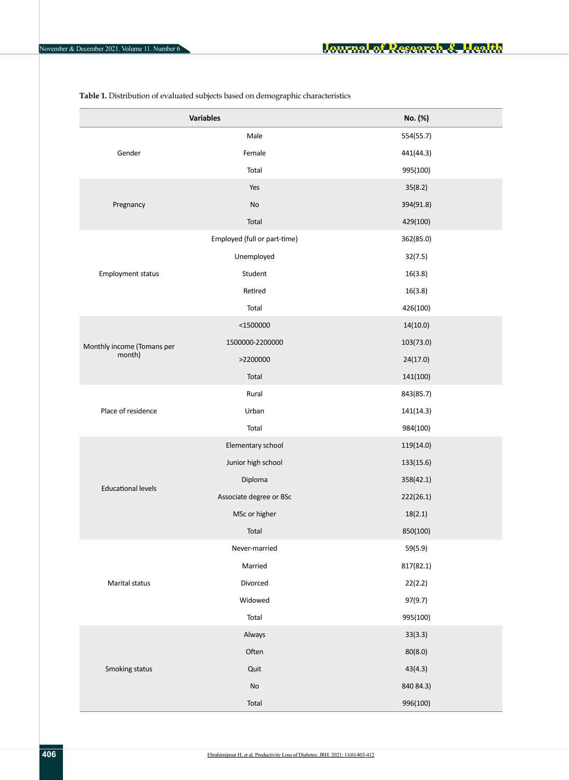|                            | <b>Variables</b>             | No. (%)   |  |  |
|----------------------------|------------------------------|-----------|--|--|
|                            | Male                         | 554(55.7) |  |  |
| Gender                     | Female                       | 441(44.3) |  |  |
|                            | Total                        | 995(100)  |  |  |
|                            | Yes                          | 35(8.2)   |  |  |
| Pregnancy                  | No                           | 394(91.8) |  |  |
|                            | Total                        | 429(100)  |  |  |
|                            | Employed (full or part-time) | 362(85.0) |  |  |
|                            | Unemployed                   | 32(7.5)   |  |  |
| <b>Employment status</b>   | Student                      | 16(3.8)   |  |  |
|                            | Retired                      | 16(3.8)   |  |  |
|                            | Total                        | 426(100)  |  |  |
|                            | $<$ 1500000                  | 14(10.0)  |  |  |
| Monthly income (Tomans per | 1500000-2200000              | 103(73.0) |  |  |
| month)                     | >2200000                     | 24(17.0)  |  |  |
|                            | Total                        | 141(100)  |  |  |
|                            | Rural                        | 843(85.7) |  |  |
| Place of residence         | Urban                        | 141(14.3) |  |  |
|                            | Total                        | 984(100)  |  |  |
|                            | Elementary school            | 119(14.0) |  |  |
|                            | Junior high school           | 133(15.6) |  |  |
| <b>Educational levels</b>  | Diploma                      | 358(42.1) |  |  |
|                            | Associate degree or BSc      | 222(26.1) |  |  |
|                            | MSc or higher                | 18(2.1)   |  |  |
|                            | Total                        | 850(100)  |  |  |
|                            | Never-married                | 59(5.9)   |  |  |
|                            | Married                      | 817(82.1) |  |  |
| Marital status             | Divorced                     | 22(2.2)   |  |  |
|                            | Widowed                      | 97(9.7)   |  |  |
|                            | Total                        | 995(100)  |  |  |
|                            | Always                       | 33(3.3)   |  |  |
|                            | Often                        | 80(8.0)   |  |  |
| Smoking status             | Quit                         | 43(4.3)   |  |  |
|                            | $\mathsf{No}$                | 840 84.3) |  |  |
|                            | Total                        | 996(100)  |  |  |

<span id="page-3-0"></span>**Table 1.** Distribution of evaluated subjects based on demographic characteristics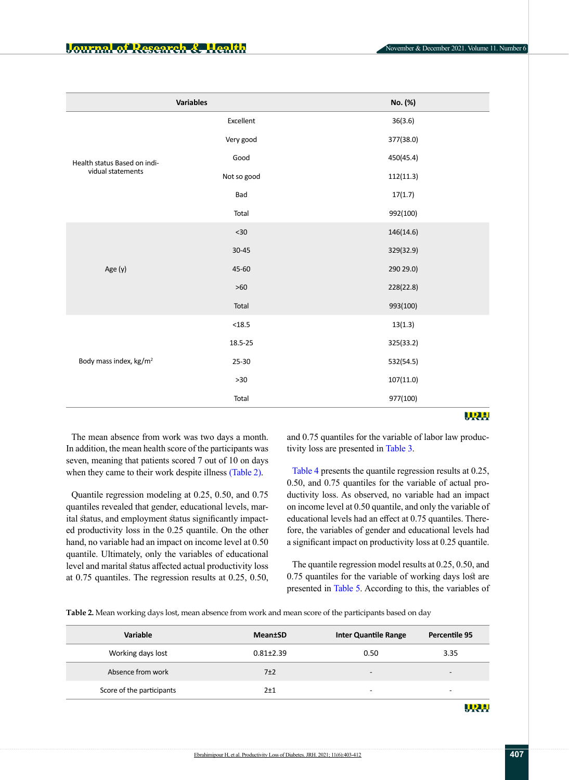|                                    | <b>Variables</b> | No. (%)   |  |  |  |
|------------------------------------|------------------|-----------|--|--|--|
|                                    | Excellent        | 36(3.6)   |  |  |  |
|                                    | Very good        | 377(38.0) |  |  |  |
| Health status Based on indi-       | Good             | 450(45.4) |  |  |  |
| vidual statements                  | Not so good      | 112(11.3) |  |  |  |
|                                    | Bad              | 17(1.7)   |  |  |  |
|                                    | Total            | 992(100)  |  |  |  |
| Age (y)                            | $<30$            | 146(14.6) |  |  |  |
|                                    | $30 - 45$        | 329(32.9) |  |  |  |
|                                    | 45-60            | 290 29.0) |  |  |  |
|                                    | $>60$            | 228(22.8) |  |  |  |
|                                    | Total            | 993(100)  |  |  |  |
|                                    | $18.5$           | 13(1.3)   |  |  |  |
|                                    | 18.5-25          | 325(33.2) |  |  |  |
| Body mass index, kg/m <sup>2</sup> | 25-30            | 532(54.5) |  |  |  |
|                                    | $>30$            | 107(11.0) |  |  |  |
|                                    | Total            | 977(100)  |  |  |  |
|                                    |                  | WRW       |  |  |  |

The mean absence from work was two days a month. In addition, the mean health score of the participants was seven, meaning that patients scored 7 out of 10 on days when they came to their work despite illness [\(Table 2\).](#page-4-0)

Quantile regression modeling at 0.25, 0.50, and 0.75 quantiles revealed that gender, educational levels, marital status, and employment status significantly impacted productivity loss in the 0.25 quantile. On the other hand, no variable had an impact on income level at 0.50 quantile. Ultimately, only the variables of educational level and marital status affected actual productivity loss at 0.75 quantiles. The regression results at 0.25, 0.50, and 0.75 quantiles for the variable of labor law productivity loss are presented in [Table 3.](#page-5-0)

[Table 4](#page-6-0) presents the quantile regression results at 0.25, 0.50, and 0.75 quantiles for the variable of actual productivity loss. As observed, no variable had an impact on income level at 0.50 quantile, and only the variable of educational levels had an effect at 0.75 quantiles. Therefore, the variables of gender and educational levels had a significant impact on productivity loss at 0.25 quantile.

The quantile regression model results at 0.25, 0.50, and 0.75 quantiles for the variable of working days lost are presented in [Table 5.](#page-7-1) According to this, the variables of

<span id="page-4-0"></span>**Table 2.** Mean working days lost, mean absence from work and mean score of the participants based on day

| Variable                  | <b>Mean</b> tSD | <b>Inter Quantile Range</b> | Percentile 95            |  |
|---------------------------|-----------------|-----------------------------|--------------------------|--|
| Working days lost         | $0.81 \pm 2.39$ | 0.50                        | 3.35                     |  |
| Absence from work         | 7±2             | -                           |                          |  |
| Score of the participants | $2+1$           | -                           | $\overline{\phantom{a}}$ |  |
|                           |                 |                             |                          |  |

URH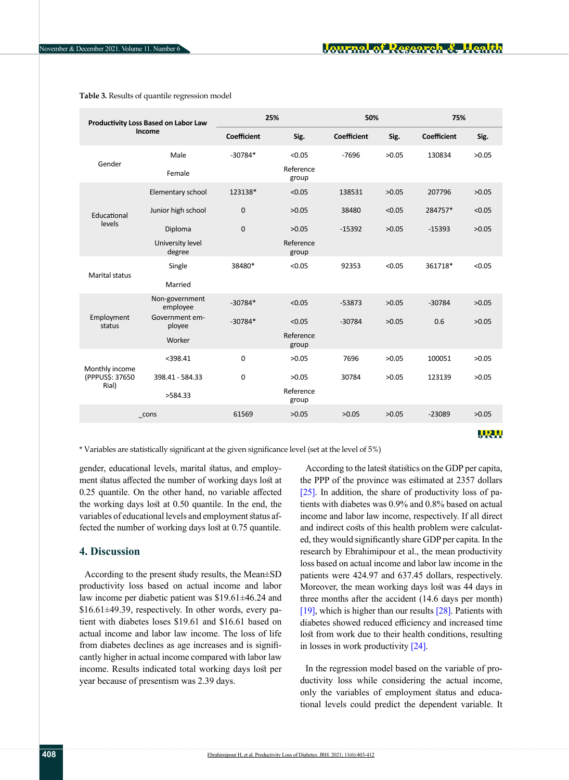| Productivity Loss Based on Labor Law<br>Income |                            | 25%                |                    | 50%                |        | 75%                |              |
|------------------------------------------------|----------------------------|--------------------|--------------------|--------------------|--------|--------------------|--------------|
|                                                |                            | <b>Coefficient</b> | Sig.               | <b>Coefficient</b> | Sig.   | <b>Coefficient</b> | Sig.         |
| Gender                                         | Male                       | $-30784*$          | < 0.05             | $-7696$            | >0.05  | 130834             | >0.05        |
|                                                | Female                     |                    | Reference<br>group |                    |        |                    |              |
|                                                | Elementary school          | 123138*            | < 0.05             | 138531             | >0.05  | 207796             | >0.05        |
| Educational                                    | Junior high school         | $\mathbf 0$        | >0.05              | 38480              | < 0.05 | 284757*            | < 0.05       |
| levels                                         | Diploma                    | $\mathbf 0$        | >0.05              | $-15392$           | >0.05  | $-15393$           | >0.05        |
|                                                | University level<br>degree |                    | Reference<br>group |                    |        |                    |              |
| <b>Marital status</b>                          | Single                     | 38480*             | < 0.05             | 92353              | < 0.05 | 361718*            | < 0.05       |
|                                                | Married                    |                    |                    |                    |        |                    |              |
|                                                | Non-government<br>employee | $-30784*$          | < 0.05             | $-53873$           | >0.05  | $-30784$           | >0.05        |
| Employment<br>status                           | Government em-<br>ployee   | $-30784*$          | < 0.05             | $-30784$           | >0.05  | 0.6                | >0.05        |
|                                                | Worker                     |                    | Reference<br>group |                    |        |                    |              |
| Monthly income<br>(PPPUS\$: 37650<br>Rial)     | $<$ 398.41                 | $\mathbf 0$        | >0.05              | 7696               | >0.05  | 100051             | >0.05        |
|                                                | 398.41 - 584.33            | $\mathbf 0$        | >0.05              | 30784              | >0.05  | 123139             | >0.05        |
|                                                | >584.33                    |                    | Reference<br>group |                    |        |                    |              |
| cons                                           |                            | 61569              | >0.05              | >0.05              | >0.05  | $-23089$           | >0.05        |
|                                                |                            |                    |                    |                    |        |                    | <u> MRJA</u> |

<span id="page-5-0"></span>**Table 3.** Results of quantile regression model

\* Variables are statistically significant at the given significance level (set at the level of 5%)

gender, educational levels, marital status, and employment status affected the number of working days lost at 0.25 quantile. On the other hand, no variable affected the working days lost at 0.50 quantile. In the end, the variables of educational levels and employment status affected the number of working days lost at 0.75 quantile.

#### **4. Discussion**

According to the present study results, the Mean±SD productivity loss based on actual income and labor law income per diabetic patient was \$19.61±46.24 and \$16.61±49.39, respectively. In other words, every patient with diabetes loses \$19.61 and \$16.61 based on actual income and labor law income. The loss of life from diabetes declines as age increases and is significantly higher in actual income compared with labor law income. Results indicated total working days lost per year because of presentism was 2.39 days.

According to the latest statistics on the GDP per capita, the PPP of the province was estimated at 2357 dollars [\[25\].](#page-8-20) In addition, the share of productivity loss of patients with diabetes was 0.9% and 0.8% based on actual income and labor law income, respectively. If all direct and indirect costs of this health problem were calculated, they would significantly share GDP per capita. In the research by Ebrahimipour et al., the mean productivity loss based on actual income and labor law income in the patients were 424.97 and 637.45 dollars, respectively. Moreover, the mean working days lost was 44 days in three months after the accident (14.6 days per month) [\[19\],](#page-8-14) which is higher than our results [\[28\]](#page-9-2). Patients with diabetes showed reduced efficiency and increased time lost from work due to their health conditions, resulting in losses in work productivity [\[24\]](#page-8-19).

In the regression model based on the variable of productivity loss while considering the actual income, only the variables of employment status and educational levels could predict the dependent variable. It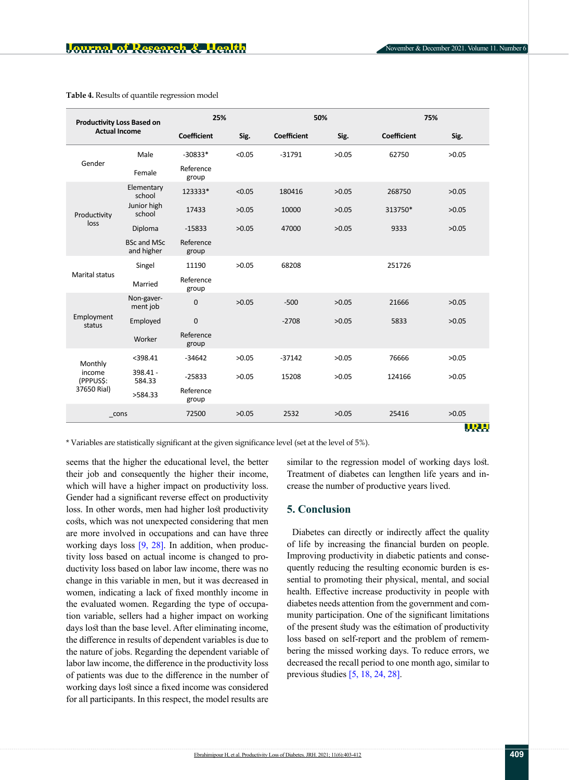| <b>Productivity Loss Based on</b><br><b>Actual Income</b> |                                  | 25%                |        |                    | 50%   |                    | 75%          |  |
|-----------------------------------------------------------|----------------------------------|--------------------|--------|--------------------|-------|--------------------|--------------|--|
|                                                           |                                  | <b>Coefficient</b> | Sig.   | <b>Coefficient</b> | Sig.  | <b>Coefficient</b> | Sig.         |  |
| Gender                                                    | Male                             | $-30833*$          | < 0.05 | $-31791$           | >0.05 | 62750              | >0.05        |  |
|                                                           | Female                           | Reference<br>group |        |                    |       |                    |              |  |
|                                                           | Elementary<br>school             | 123333*            | < 0.05 | 180416             | >0.05 | 268750             | >0.05        |  |
| Productivity                                              | Junior high<br>school            | 17433              | >0.05  | 10000              | >0.05 | 313750*            | >0.05        |  |
| loss                                                      | Diploma                          | $-15833$           | >0.05  | 47000              | >0.05 | 9333               | >0.05        |  |
|                                                           | <b>BSc and MSc</b><br>and higher | Reference<br>group |        |                    |       |                    |              |  |
|                                                           | Singel                           | 11190              | >0.05  | 68208              |       | 251726             |              |  |
| <b>Marital status</b>                                     | Married                          | Reference<br>group |        |                    |       |                    |              |  |
| Employment<br>status                                      | Non-gaver-<br>ment job           | $\mathbf 0$        | >0.05  | $-500$             | >0.05 | 21666              | >0.05        |  |
|                                                           | Employed                         | $\mathbf 0$        |        | $-2708$            | >0.05 | 5833               | >0.05        |  |
|                                                           | Worker                           | Reference<br>group |        |                    |       |                    |              |  |
| Monthly                                                   | $<$ 398.41                       | $-34642$           | >0.05  | $-37142$           | >0.05 | 76666              | >0.05        |  |
| income<br>(PPPUS\$:<br>37650 Rial)                        | 398.41 -<br>584.33               | $-25833$           | >0.05  | 15208              | >0.05 | 124166             | >0.05        |  |
|                                                           | >584.33                          | Reference<br>group |        |                    |       |                    |              |  |
| cons                                                      |                                  | 72500              | >0.05  | 2532               | >0.05 | 25416              | >0.05        |  |
|                                                           |                                  |                    |        |                    |       |                    | <u>IIR H</u> |  |

<span id="page-6-0"></span>**Table 4.** Results of quantile regression model

\* Variables are statistically significant at the given significance level (set at the level of 5%).

seems that the higher the educational level, the better their job and consequently the higher their income, which will have a higher impact on productivity loss. Gender had a significant reverse effect on productivity loss. In other words, men had higher lost productivity costs, which was not unexpected considering that men are more involved in occupations and can have three working days loss  $[9, 28]$  $[9, 28]$  $[9, 28]$ . In addition, when productivity loss based on actual income is changed to productivity loss based on labor law income, there was no change in this variable in men, but it was decreased in women, indicating a lack of fixed monthly income in the evaluated women. Regarding the type of occupation variable, sellers had a higher impact on working days lost than the base level. After eliminating income, the difference in results of dependent variables is due to the nature of jobs. Regarding the dependent variable of labor law income, the difference in the productivity loss of patients was due to the difference in the number of working days lost since a fixed income was considered for all participants. In this respect, the model results are

similar to the regression model of working days lost. Treatment of diabetes can lengthen life years and increase the number of productive years lived.

## **5. Conclusion**

Diabetes can directly or indirectly affect the quality of life by increasing the financial burden on people. Improving productivity in diabetic patients and consequently reducing the resulting economic burden is essential to promoting their physical, mental, and social health. Effective increase productivity in people with diabetes needs attention from the government and community participation. One of the significant limitations of the present study was the estimation of productivity loss based on self-report and the problem of remembering the missed working days. To reduce errors, we decreased the recall period to one month ago, similar to previous studies [\[5,](#page-8-3) 18, [24,](#page-8-19) [28\]](#page-9-2).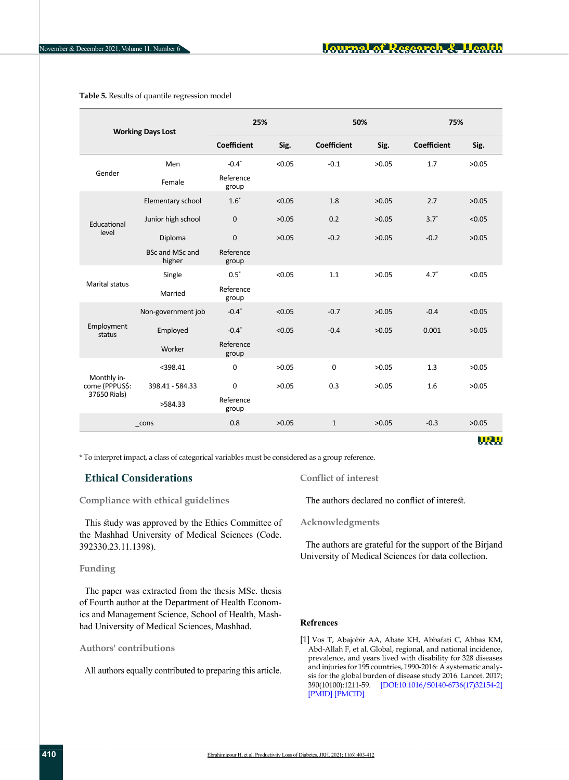| <b>Working Days Lost</b>                      |                                  | 25%                |        | 50%                |       | 75%                |            |
|-----------------------------------------------|----------------------------------|--------------------|--------|--------------------|-------|--------------------|------------|
|                                               |                                  | <b>Coefficient</b> | Sig.   | <b>Coefficient</b> | Sig.  | <b>Coefficient</b> | Sig.       |
| Gender                                        | Men                              | $-0.4*$            | < 0.05 | $-0.1$             | >0.05 | 1.7                | >0.05      |
|                                               | Female                           | Reference<br>group |        |                    |       |                    |            |
|                                               | Elementary school                | $1.6*$             | < 0.05 | 1.8                | >0.05 | 2.7                | >0.05      |
| Educational                                   | Junior high school               | $\mathbf 0$        | >0.05  | 0.2                | >0.05 | $3.7*$             | < 0.05     |
| level                                         | Diploma                          | $\mathbf 0$        | >0.05  | $-0.2$             | >0.05 | $-0.2$             | >0.05      |
|                                               | <b>BSc and MSc and</b><br>higher | Reference<br>group |        |                    |       |                    |            |
|                                               | Single                           | $0.5*$             | < 0.05 | 1.1                | >0.05 | $4.7*$             | < 0.05     |
| Marital status                                | Married                          | Reference<br>group |        |                    |       |                    |            |
|                                               | Non-government job               | $-0.4*$            | < 0.05 | $-0.7$             | >0.05 | $-0.4$             | < 0.05     |
| Employment<br>status                          | Employed                         | $-0.4*$            | < 0.05 | $-0.4$             | >0.05 | 0.001              | >0.05      |
|                                               | Worker                           | Reference<br>group |        |                    |       |                    |            |
| Monthly in-<br>come (PPPUS\$:<br>37650 Rials) | $<$ 398.41                       | $\mathbf 0$        | >0.05  | $\Omega$           | >0.05 | 1.3                | >0.05      |
|                                               | 398.41 - 584.33                  | 0                  | >0.05  | 0.3                | >0.05 | 1.6                | >0.05      |
|                                               | >584.33                          | Reference<br>group |        |                    |       |                    |            |
|                                               | cons                             | 0.8                | >0.05  | $\mathbf{1}$       | >0.05 | $-0.3$             | >0.05      |
|                                               |                                  |                    |        |                    |       |                    | <u>URL</u> |

<span id="page-7-1"></span>**Table 5.** Results of quantile regression model

\* To interpret impact, a class of categorical variables must be considered as a group reference.

# **Ethical Considerations**

**Compliance with ethical guidelines**

This study was approved by the Ethics Committee of the Mashhad University of Medical Sciences (Code. 392330.23.11.1398).

#### **Funding**

The paper was extracted from the thesis MSc. thesis of Fourth author at the Department of Health Economics and Management Science, School of Health, Mashhad University of Medical Sciences, Mashhad.

## **Authors' contributions**

All authors equally contributed to preparing this article.

**Conflict of interest**

The authors declared no conflict of interest.

**Acknowledgments**

The authors are grateful for the support of the Birjand University of Medical Sciences for data collection.

#### **Refrences**

<span id="page-7-0"></span>[1] Vos T, Abajobir AA, Abate KH, Abbafati C, Abbas KM, Abd-Allah F, et al. Global, regional, and national incidence, prevalence, and years lived with disability for 328 diseases and injuries for 195 countries, 1990-2016: A systematic analysis for the global burden of disease study 2016. Lancet. 2017; 390(10100):1211-59. [\[DOI:10.1016/S0140-6736\(17\)32154-2\]](https://doi.org/10.1016/s0140-6736(17)32154-2) [[PMID\]](https://pubmed.ncbi.nlm.nih.gov/28919117/) [\[PMCID\]](http://www.ncbi.nlm.nih.gov/pmc/articles/pmc5605509/)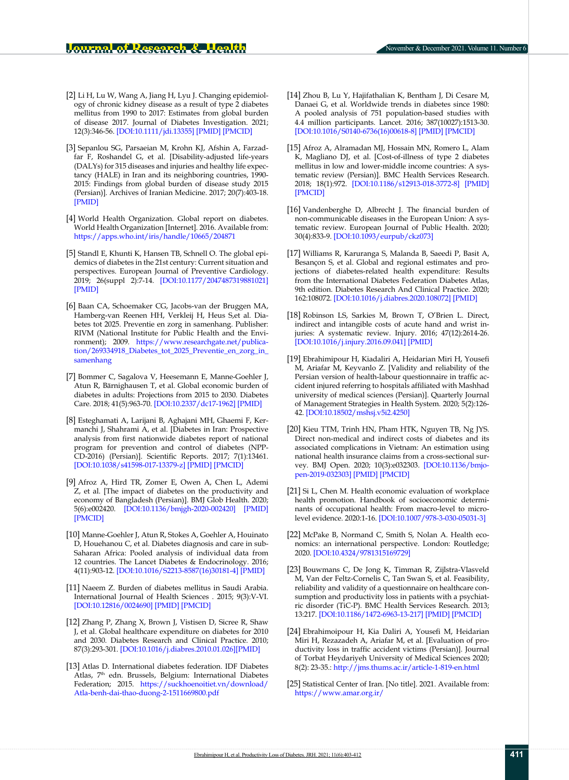- <span id="page-8-0"></span>[2] Li H, Lu W, Wang A, Jiang H, Lyu J. Changing epidemiology of chronic kidney disease as a result of type 2 diabetes mellitus from 1990 to 2017: Estimates from global burden of disease 2017. Journal of Diabetes Investigation. 2021; 12(3):346-56. [\[DOI:10.1111/jdi.13355\]](https://doi.org/10.1111/jdi.13355) [[PMID](https://pubmed.ncbi.nlm.nih.gov/32654341/)] [\[PMCID](http://www.ncbi.nlm.nih.gov/pmc/articles/pmc7926234/)]
- <span id="page-8-1"></span>[3] Sepanlou SG, Parsaeian M, Krohn KJ, Afshin A, Farzadfar F, Roshandel G, et al. [Disability-adjusted life-years (DALYs) for 315 diseases and injuries and healthy life expectancy (HALE) in Iran and its neighboring countries, 1990- 2015: Findings from global burden of disease study 2015 (Persian)]. Archives of Iranian Medicine. 2017; 20(7):403-18. [\[PMID](https://pubmed.ncbi.nlm.nih.gov/28745902/)]
- <span id="page-8-2"></span>[4] World Health Organization. Global report on diabetes. World Health Organization [Internet]. 2016. Available from: <https://apps.who.int/iris/handle/10665/204871>
- <span id="page-8-3"></span>[5] Standl E, Khunti K, Hansen TB, Schnell O. The global epidemics of diabetes in the 21st century: Current situation and perspectives. European Journal of Preventive Cardiology. 2019; 26(suppl 2):7-14. [\[DOI:10.1177/2047487319881021](https://doi.org/10.1177/2047487319881021)] [\[PMID](https://pubmed.ncbi.nlm.nih.gov/31766915/)]
- <span id="page-8-4"></span>[6] Baan CA, Schoemaker CG, Jacobs-van der Bruggen MA, Hamberg-van Reenen HH, Verkleij H, Heus S,et al. Diabetes tot 2025. Preventie en zorg in samenhang. Publisher: RIVM (National Institute for Public Health and the Environment); 2009. [https://www.researchgate.net/publica](https://www.researchgate.net/publication/269334918_Diabetes_tot_2025_Preventie_en_zorg_in_samenhang%20)[tion/269334918\\_Diabetes\\_tot\\_2025\\_Preventie\\_en\\_zorg\\_in\\_](https://www.researchgate.net/publication/269334918_Diabetes_tot_2025_Preventie_en_zorg_in_samenhang%20) [samenhang](https://www.researchgate.net/publication/269334918_Diabetes_tot_2025_Preventie_en_zorg_in_samenhang%20)
- [7] Bommer C, Sagalova V, Heesemann E, Manne-Goehler J, Atun R, Bärnighausen T, et al. Global economic burden of diabetes in adults: Projections from 2015 to 2030. Diabetes Care. 2018; 41(5):963-70. [[DOI:10.2337/dc17-1962\]](https://doi.org/10.2337/dc17-1962) [\[PMID](https://pubmed.ncbi.nlm.nih.gov/29475843/)]
- <span id="page-8-5"></span>[8] Esteghamati A, Larijani B, Aghajani MH, Ghaemi F, Kermanchi J, Shahrami A, et al. [Diabetes in Iran: Prospective analysis from first nationwide diabetes report of national program for prevention and control of diabetes (NPP-CD-2016) (Persian)]. Scientific Reports. 2017; 7(1):13461. [\[DOI:10.1038/s41598-017-13379-z](https://doi.org/10.1038/s41598-017-13379-z)] [\[PMID\]](https://pubmed.ncbi.nlm.nih.gov/29044139/) [[PMCID](http://www.ncbi.nlm.nih.gov/pmc/articles/pmc5647418/)]
- <span id="page-8-6"></span>[9] Afroz A, Hird TR, Zomer E, Owen A, Chen L, Ademi Z, et al. [The impact of diabetes on the productivity and economy of Bangladesh (Persian)]. BMJ Glob Health. 2020; 5(6):e002420. [\[DOI:10.1136/bmjgh-2020-002420\]](https://doi.org/10.1136/bmjgh-2020-002420) [[PMID](https://pubmed.ncbi.nlm.nih.gov/32532757/)] [\[PMCID\]](http://www.ncbi.nlm.nih.gov/pmc/articles/pmc7295429/)
- <span id="page-8-7"></span>[10] Manne-Goehler J, Atun R, Stokes A, Goehler A, Houinato D, Houehanou C, et al. Diabetes diagnosis and care in sub-Saharan Africa: Pooled analysis of individual data from 12 countries. The Lancet Diabetes & Endocrinology. 2016; 4(11):903-12. [\[DOI:10.1016/S2213-8587\(16\)30181-4\]](https://doi.org/10.1016/s2213-8587(16)30181-4) [\[PMID](https://pubmed.ncbi.nlm.nih.gov/27727123/)]
- <span id="page-8-8"></span>[11] Naeem Z. Burden of diabetes mellitus in Saudi Arabia. International Journal of Health Sciences . 2015; 9(3):V-VI. [\[DOI:10.12816/0024690](https://doi.org/10.12816/0024690)] [\[PMID\]](https://pubmed.ncbi.nlm.nih.gov/26609301/) [[PMCID\]](http://www.ncbi.nlm.nih.gov/pmc/articles/pmc4633187/)
- <span id="page-8-9"></span>[12] Zhang P, Zhang X, Brown J, Vistisen D, Sicree R, Shaw J, et al. Global healthcare expenditure on diabetes for 2010 and 2030. Diabetes Research and Clinical Practice. 2010; 87(3):293-301. [\[DOI:10.1016/j.diabres.2010.01.026\]](https://doi.org/10.1016/j.diabres.2010.01.026)[\[PMID](https://pubmed.ncbi.nlm.nih.gov/20171754/)]
- <span id="page-8-10"></span>[13] Atlas D. International diabetes federation. IDF Diabetes Atlas, 7<sup>th</sup> edn. Brussels, Belgium: International Diabetes Federation; 2015. [https://suckhoenoitiet.vn/download/](https://suckhoenoitiet.vn/download/Atla-benh-dai-thao-duong-2-1511669800.pdf) [Atla-benh-dai-thao-duong-2-1511669800.pdf](https://suckhoenoitiet.vn/download/Atla-benh-dai-thao-duong-2-1511669800.pdf)
- <span id="page-8-11"></span>[14] Zhou B, Lu Y, Hajifathalian K, Bentham J, Di Cesare M, Danaei G, et al. Worldwide trends in diabetes since 1980: A pooled analysis of 751 population-based studies with 4.4 million participants. Lancet. 2016; 387(10027):1513-30. [[DOI:10.1016/S0140-6736\(16\)00618-8](https://doi.org/10.1016/s0140-6736(16)00618-8)] [\[PMID\]](https://pubmed.ncbi.nlm.nih.gov/27061677/) [[PMCID\]](http://www.ncbi.nlm.nih.gov/pmc/articles/pmc5081106/)
- <span id="page-8-12"></span>[15] Afroz A, Alramadan MJ, Hossain MN, Romero L, Alam K, Magliano DJ, et al. [Cost-of-illness of type 2 diabetes mellitus in low and lower-middle income countries: A systematic review (Persian)]. BMC Health Services Research. 2018; 18(1):972. [[DOI:10.1186/s12913-018-3772-8](https://doi.org/10.1186/s12913-018-3772-8)] [[PMID\]](https://pubmed.ncbi.nlm.nih.gov/30558591/) [[PMCID](http://www.ncbi.nlm.nih.gov/pmc/articles/pmc6296053/)]
- <span id="page-8-13"></span>[16] Vandenberghe D, Albrecht J. The financial burden of non-communicable diseases in the European Union: A systematic review. European Journal of Public Health. 2020; 30(4):833-9. [\[DOI:10.1093/eurpub/ckz073\]](https://academic.oup.com/eurpub/article/30/4/833/5479974?login=true)
- [17] Williams R, Karuranga S, Malanda B, Saeedi P, Basit A, Besançon S, et al. Global and regional estimates and projections of diabetes-related health expenditure: Results from the International Diabetes Federation Diabetes Atlas, 9th edition. Diabetes Research And Clinical Practice. 2020; 162:108072. [\[DOI:10.1016/j.diabres.2020.108072\]](https://doi.org/10.1016/j.diabres.2020.108072) [\[PMID](https://pubmed.ncbi.nlm.nih.gov/32061820/)]
- [18] Robinson LS, Sarkies M, Brown T, O'Brien L. Direct, indirect and intangible costs of acute hand and wrist injuries: A systematic review. Injury. 2016; 47(12):2614-26. [[DOI:10.1016/j.injury.2016.09.041\]](https://doi.org/10.1016/j.injury.2016.09.041) [[PMID\]](https://pubmed.ncbi.nlm.nih.gov/27751502/)
- <span id="page-8-14"></span>[19] Ebrahimipour H, Kiadaliri A, Heidarian Miri H, Yousefi M, Ariafar M, Keyvanlo Z. [Validity and reliability of the Persian version of health-labour questionnaire in traffic accident injured referring to hospitals affiliated with Mashhad university of medical sciences (Persian)]. Quarterly Journal of Management Strategies in Health System. 2020; 5(2):126- 42. [[DOI:10.18502/mshsj.v5i2.4250\]](http://dx.doi.org/10.18502/mshsj.v5i2.4250)
- <span id="page-8-15"></span>[20] Kieu TTM, Trinh HN, Pham HTK, Nguyen TB, Ng JYS. Direct non-medical and indirect costs of diabetes and its associated complications in Vietnam: An estimation using national health insurance claims from a cross-sectional survey. BMJ Open. 2020; 10(3):e032303. [[DOI:10.1136/bmjo](https://doi.org/10.1136/bmjopen-2019-032303)[pen-2019-032303](https://doi.org/10.1136/bmjopen-2019-032303)] [\[PMID](https://pubmed.ncbi.nlm.nih.gov/32132135/)] [[PMCID](http://www.ncbi.nlm.nih.gov/pmc/articles/pmc7059501/)]
- <span id="page-8-16"></span>[21] Si L, Chen M. Health economic evaluation of workplace health promotion. Handbook of socioeconomic determinants of occupational health: From macro-level to microlevel evidence. 2020:1-16. [[DOI:10.1007/978-3-030-05031-3](https://doi.org/10.1007/978-3-030-05031-3)]
- <span id="page-8-17"></span>[22] McPake B, Normand C, Smith S, Nolan A. Health economics: an international perspective. London: Routledge; 2020. [\[DOI:10.4324/9781315169729\]](https://www.taylorfrancis.com/books/mono/10.4324/9781315169729/health-economics-barbara-mcpake-charles-normand-samantha-smith-anne-nolan)
- <span id="page-8-18"></span>[23] Bouwmans C, De Jong K, Timman R, Zijlstra-Vlasveld M, Van der Feltz-Cornelis C, Tan Swan S, et al. Feasibility, reliability and validity of a questionnaire on healthcare consumption and productivity loss in patients with a psychiatric disorder (TiC-P). BMC Health Services Research. 2013; 13:217. [\[DOI:10.1186/1472-6963-13-217](https://doi.org/10.1186/1472-6963-13-217)] [\[PMID\]](https://pubmed.ncbi.nlm.nih.gov/23768141/) [[PMCID\]](http://www.ncbi.nlm.nih.gov/pmc/articles/pmc3694473/)
- <span id="page-8-19"></span>[24] Ebrahimoipour H, Kia Daliri A, Yousefi M, Heidarian Miri H, Rezazadeh A, Ariafar M, et al. [Evaluation of productivity loss in traffic accident victims (Persian)]. Journal of Torbat Heydariyeh University of Medical Sciences 2020; 8(2): 23-35.:<http://jms.thums.ac.ir/article-1-819-en.html>
- <span id="page-8-20"></span>[25] Statistical Center of Iran. [No title]. 2021. Available from: https://[www.amar.org.ir/](http://www.amar.org.ir/)